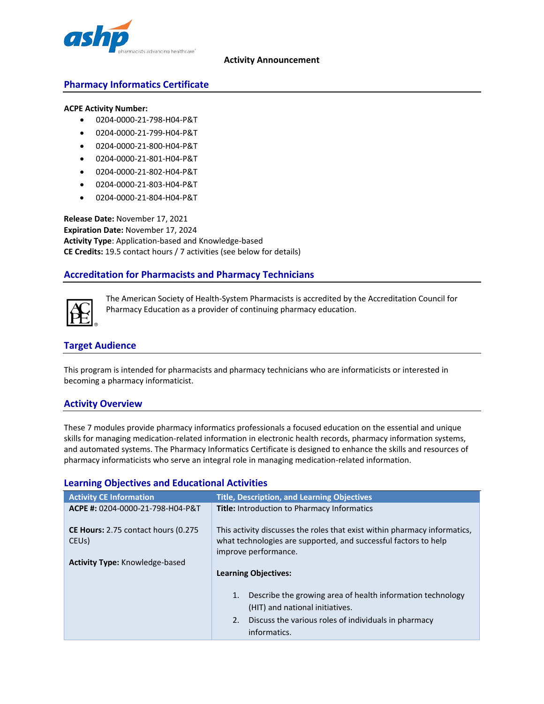

#### **Activity Announcement**

# **Pharmacy Informatics Certificate**

#### **ACPE Activity Number:**

- 0204-0000-21-798-H04-P&T
- 0204-0000-21-799-H04-P&T
- 0204-0000-21-800-H04-P&T
- 0204-0000-21-801-H04-P&T
- 0204-0000-21-802-H04-P&T
- 0204-0000-21-803-H04-P&T
- 0204-0000-21-804-H04-P&T

**Release Date:** November 17, 2021 **Expiration Date:** November 17, 2024 **Activity Type**: Application-based and Knowledge-based **CE Credits:** 19.5 contact hours / 7 activities (see below for details)

# **Accreditation for Pharmacists and Pharmacy Technicians**



The American Society of Health-System Pharmacists is accredited by the Accreditation Council for Pharmacy Education as a provider of continuing pharmacy education.

# **Target Audience**

This program is intended for pharmacists and pharmacy technicians who are informaticists or interested in becoming a pharmacy informaticist.

# **Activity Overview**

These 7 modules provide pharmacy informatics professionals a focused education on the essential and unique skills for managing medication-related information in electronic health records, pharmacy information systems, and automated systems. The Pharmacy Informatics Certificate is designed to enhance the skills and resources of pharmacy informaticists who serve an integral role in managing medication-related information.

| <b>Activity CE Information</b>                                    | <b>Title, Description, and Learning Objectives</b>                                                                                                                             |
|-------------------------------------------------------------------|--------------------------------------------------------------------------------------------------------------------------------------------------------------------------------|
| ACPE #: 0204-0000-21-798-H04-P&T                                  | <b>Title:</b> Introduction to Pharmacy Informatics                                                                                                                             |
| <b>CE Hours:</b> 2.75 contact hours (0.275)<br>CEU <sub>s</sub> ) | This activity discusses the roles that exist within pharmacy informatics,<br>what technologies are supported, and successful factors to help<br>improve performance.           |
| <b>Activity Type: Knowledge-based</b>                             |                                                                                                                                                                                |
|                                                                   | <b>Learning Objectives:</b>                                                                                                                                                    |
|                                                                   | Describe the growing area of health information technology<br>1.<br>(HIT) and national initiatives.<br>2. Discuss the various roles of individuals in pharmacy<br>informatics. |

# **Learning Objectives and Educational Activities**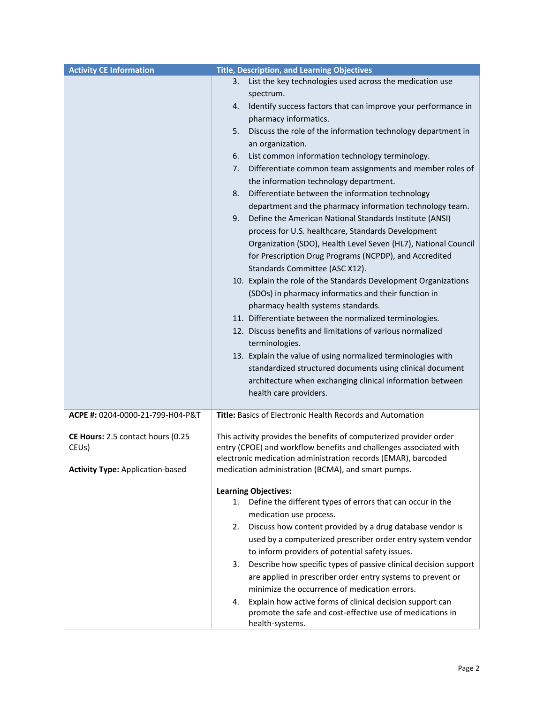| <b>Activity CE Information</b>                                                                     | <b>Title, Description, and Learning Objectives</b>                                                                                                                                                                                                                                                                                                                                                                                                                                                                                                                                                                                                                                                                                                                                                                                                                                                                                                                                                                                                                                                                                                                                                                                                                                                                                                                                     |
|----------------------------------------------------------------------------------------------------|----------------------------------------------------------------------------------------------------------------------------------------------------------------------------------------------------------------------------------------------------------------------------------------------------------------------------------------------------------------------------------------------------------------------------------------------------------------------------------------------------------------------------------------------------------------------------------------------------------------------------------------------------------------------------------------------------------------------------------------------------------------------------------------------------------------------------------------------------------------------------------------------------------------------------------------------------------------------------------------------------------------------------------------------------------------------------------------------------------------------------------------------------------------------------------------------------------------------------------------------------------------------------------------------------------------------------------------------------------------------------------------|
|                                                                                                    | List the key technologies used across the medication use<br>3.<br>spectrum.<br>Identify success factors that can improve your performance in<br>4.<br>pharmacy informatics.<br>Discuss the role of the information technology department in<br>5.<br>an organization.<br>6.<br>List common information technology terminology.<br>Differentiate common team assignments and member roles of<br>7.<br>the information technology department.<br>Differentiate between the information technology<br>8.<br>department and the pharmacy information technology team.<br>Define the American National Standards Institute (ANSI)<br>9.<br>process for U.S. healthcare, Standards Development<br>Organization (SDO), Health Level Seven (HL7), National Council<br>for Prescription Drug Programs (NCPDP), and Accredited<br>Standards Committee (ASC X12).<br>10. Explain the role of the Standards Development Organizations<br>(SDOs) in pharmacy informatics and their function in<br>pharmacy health systems standards.<br>11. Differentiate between the normalized terminologies.<br>12. Discuss benefits and limitations of various normalized<br>terminologies.<br>13. Explain the value of using normalized terminologies with<br>standardized structured documents using clinical document<br>architecture when exchanging clinical information between<br>health care providers. |
| ACPE #: 0204-0000-21-799-H04-P&T                                                                   | Title: Basics of Electronic Health Records and Automation                                                                                                                                                                                                                                                                                                                                                                                                                                                                                                                                                                                                                                                                                                                                                                                                                                                                                                                                                                                                                                                                                                                                                                                                                                                                                                                              |
| CE Hours: 2.5 contact hours (0.25<br>CEU <sub>s</sub> )<br><b>Activity Type: Application-based</b> | This activity provides the benefits of computerized provider order<br>entry (CPOE) and workflow benefits and challenges associated with<br>electronic medication administration records (EMAR), barcoded<br>medication administration (BCMA), and smart pumps.                                                                                                                                                                                                                                                                                                                                                                                                                                                                                                                                                                                                                                                                                                                                                                                                                                                                                                                                                                                                                                                                                                                         |
|                                                                                                    | <b>Learning Objectives:</b><br>Define the different types of errors that can occur in the<br>1.<br>medication use process.<br>Discuss how content provided by a drug database vendor is<br>2.<br>used by a computerized prescriber order entry system vendor<br>to inform providers of potential safety issues.<br>Describe how specific types of passive clinical decision support<br>3.<br>are applied in prescriber order entry systems to prevent or<br>minimize the occurrence of medication errors.<br>Explain how active forms of clinical decision support can<br>4.<br>promote the safe and cost-effective use of medications in<br>health-systems.                                                                                                                                                                                                                                                                                                                                                                                                                                                                                                                                                                                                                                                                                                                           |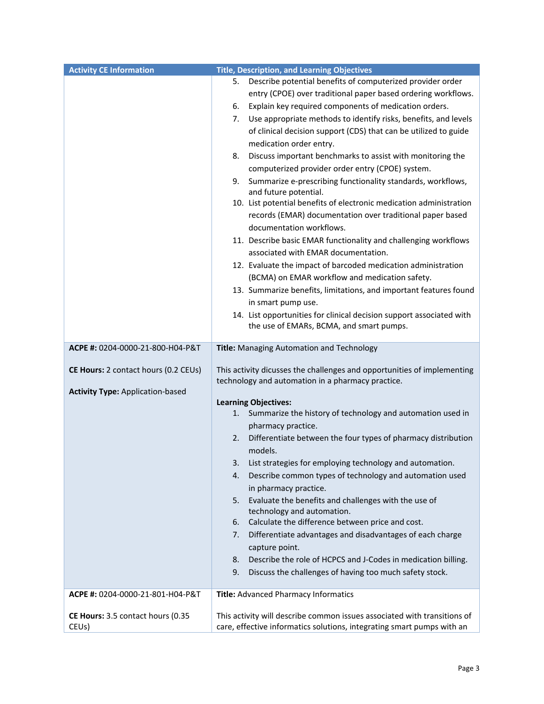| <b>Activity CE Information</b>          | <b>Title, Description, and Learning Objectives</b>                       |
|-----------------------------------------|--------------------------------------------------------------------------|
|                                         | Describe potential benefits of computerized provider order<br>5.         |
|                                         | entry (CPOE) over traditional paper based ordering workflows.            |
|                                         | Explain key required components of medication orders.<br>6.              |
|                                         | Use appropriate methods to identify risks, benefits, and levels<br>7.    |
|                                         | of clinical decision support (CDS) that can be utilized to guide         |
|                                         | medication order entry.                                                  |
|                                         | 8.<br>Discuss important benchmarks to assist with monitoring the         |
|                                         | computerized provider order entry (CPOE) system.                         |
|                                         | Summarize e-prescribing functionality standards, workflows,<br>9.        |
|                                         | and future potential.                                                    |
|                                         | 10. List potential benefits of electronic medication administration      |
|                                         | records (EMAR) documentation over traditional paper based                |
|                                         | documentation workflows.                                                 |
|                                         | 11. Describe basic EMAR functionality and challenging workflows          |
|                                         | associated with EMAR documentation.                                      |
|                                         | 12. Evaluate the impact of barcoded medication administration            |
|                                         | (BCMA) on EMAR workflow and medication safety.                           |
|                                         | 13. Summarize benefits, limitations, and important features found        |
|                                         | in smart pump use.                                                       |
|                                         | 14. List opportunities for clinical decision support associated with     |
|                                         | the use of EMARs, BCMA, and smart pumps.                                 |
|                                         |                                                                          |
| ACPE #: 0204-0000-21-800-H04-P&T        | Title: Managing Automation and Technology                                |
| CE Hours: 2 contact hours (0.2 CEUs)    | This activity dicusses the challenges and opportunities of implementing  |
|                                         | technology and automation in a pharmacy practice.                        |
| <b>Activity Type: Application-based</b> |                                                                          |
|                                         | <b>Learning Objectives:</b>                                              |
|                                         | Summarize the history of technology and automation used in<br>1.         |
|                                         | pharmacy practice.                                                       |
|                                         | Differentiate between the four types of pharmacy distribution<br>2.      |
|                                         | models.                                                                  |
|                                         | List strategies for employing technology and automation.                 |
|                                         | Describe common types of technology and automation used<br>4.            |
|                                         | in pharmacy practice.                                                    |
|                                         | Evaluate the benefits and challenges with the use of<br>5.               |
|                                         | technology and automation.                                               |
|                                         | Calculate the difference between price and cost.<br>6.                   |
|                                         | Differentiate advantages and disadvantages of each charge<br>7.          |
|                                         | capture point.                                                           |
|                                         | Describe the role of HCPCS and J-Codes in medication billing.<br>8.      |
|                                         | Discuss the challenges of having too much safety stock.<br>9.            |
| ACPE #: 0204-0000-21-801-H04-P&T        | Title: Advanced Pharmacy Informatics                                     |
|                                         |                                                                          |
| CE Hours: 3.5 contact hours (0.35       | This activity will describe common issues associated with transitions of |
| CEU <sub>s</sub> )                      | care, effective informatics solutions, integrating smart pumps with an   |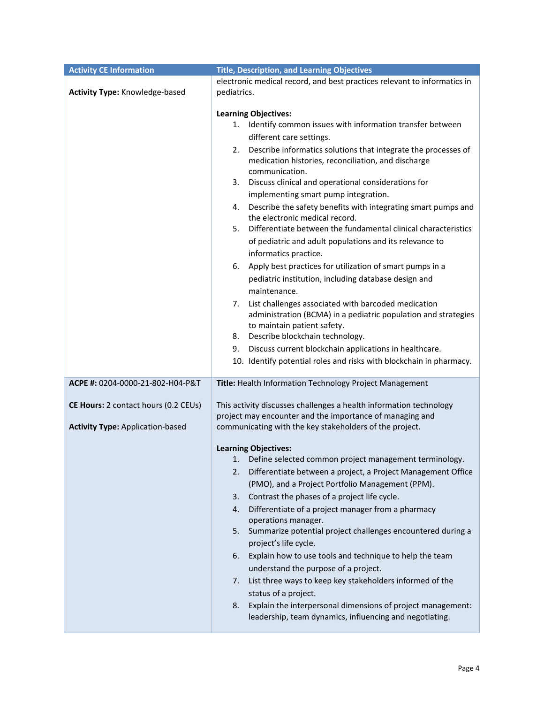| <b>Activity CE Information</b>          | <b>Title, Description, and Learning Objectives</b>                                                                           |
|-----------------------------------------|------------------------------------------------------------------------------------------------------------------------------|
|                                         | electronic medical record, and best practices relevant to informatics in                                                     |
| <b>Activity Type: Knowledge-based</b>   | pediatrics.                                                                                                                  |
|                                         |                                                                                                                              |
|                                         | <b>Learning Objectives:</b>                                                                                                  |
|                                         | Identify common issues with information transfer between<br>1.                                                               |
|                                         | different care settings.                                                                                                     |
|                                         | Describe informatics solutions that integrate the processes of<br>2.                                                         |
|                                         | medication histories, reconciliation, and discharge<br>communication.                                                        |
|                                         | 3. Discuss clinical and operational considerations for                                                                       |
|                                         | implementing smart pump integration.                                                                                         |
|                                         | Describe the safety benefits with integrating smart pumps and<br>4.                                                          |
|                                         | the electronic medical record.                                                                                               |
|                                         | Differentiate between the fundamental clinical characteristics<br>5.                                                         |
|                                         | of pediatric and adult populations and its relevance to                                                                      |
|                                         | informatics practice.                                                                                                        |
|                                         | 6. Apply best practices for utilization of smart pumps in a                                                                  |
|                                         | pediatric institution, including database design and                                                                         |
|                                         | maintenance.                                                                                                                 |
|                                         | List challenges associated with barcoded medication<br>7.                                                                    |
|                                         | administration (BCMA) in a pediatric population and strategies                                                               |
|                                         | to maintain patient safety.                                                                                                  |
|                                         | 8. Describe blockchain technology.                                                                                           |
|                                         | Discuss current blockchain applications in healthcare.<br>9.                                                                 |
|                                         | 10. Identify potential roles and risks with blockchain in pharmacy.                                                          |
|                                         |                                                                                                                              |
| ACPE #: 0204-0000-21-802-H04-P&T        | Title: Health Information Technology Project Management                                                                      |
| CE Hours: 2 contact hours (0.2 CEUs)    | This activity discusses challenges a health information technology                                                           |
|                                         | project may encounter and the importance of managing and                                                                     |
| <b>Activity Type: Application-based</b> | communicating with the key stakeholders of the project.                                                                      |
|                                         |                                                                                                                              |
|                                         | <b>Learning Objectives:</b>                                                                                                  |
|                                         | Define selected common project management terminology.<br>1.                                                                 |
|                                         | Differentiate between a project, a Project Management Office<br>2.                                                           |
|                                         | (PMO), and a Project Portfolio Management (PPM).                                                                             |
|                                         | Contrast the phases of a project life cycle.<br>3.                                                                           |
|                                         | Differentiate of a project manager from a pharmacy<br>4.                                                                     |
|                                         | operations manager.<br>Summarize potential project challenges encountered during a<br>5.                                     |
|                                         | project's life cycle.                                                                                                        |
|                                         | Explain how to use tools and technique to help the team<br>6.                                                                |
|                                         | understand the purpose of a project.                                                                                         |
|                                         |                                                                                                                              |
|                                         | List three ways to keep key stakeholders informed of the<br>7.                                                               |
|                                         | status of a project.                                                                                                         |
|                                         | Explain the interpersonal dimensions of project management:<br>8.<br>leadership, team dynamics, influencing and negotiating. |
|                                         |                                                                                                                              |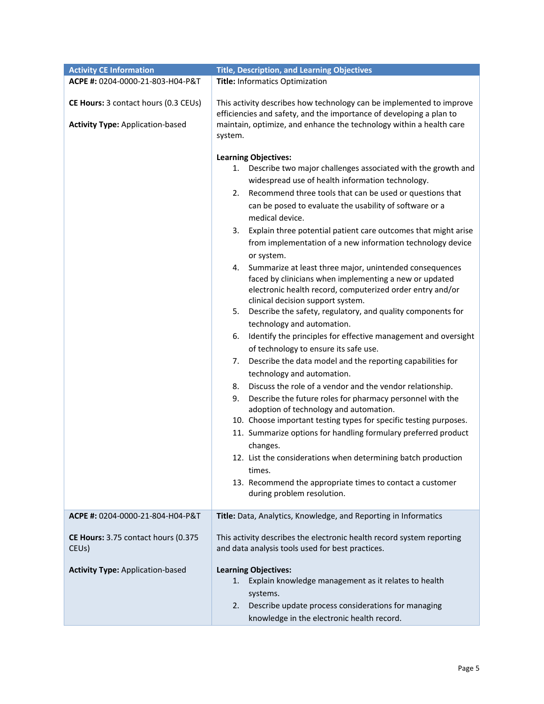| <b>Activity CE Information</b>          | <b>Title, Description, and Learning Objectives</b>                                                                                                                                |
|-----------------------------------------|-----------------------------------------------------------------------------------------------------------------------------------------------------------------------------------|
| ACPE #: 0204-0000-21-803-H04-P&T        | Title: Informatics Optimization                                                                                                                                                   |
|                                         |                                                                                                                                                                                   |
| CE Hours: 3 contact hours (0.3 CEUs)    | This activity describes how technology can be implemented to improve<br>efficiencies and safety, and the importance of developing a plan to                                       |
| <b>Activity Type: Application-based</b> | maintain, optimize, and enhance the technology within a health care<br>system.                                                                                                    |
|                                         |                                                                                                                                                                                   |
|                                         | <b>Learning Objectives:</b>                                                                                                                                                       |
|                                         | 1. Describe two major challenges associated with the growth and                                                                                                                   |
|                                         | widespread use of health information technology.                                                                                                                                  |
|                                         | Recommend three tools that can be used or questions that<br>2.                                                                                                                    |
|                                         | can be posed to evaluate the usability of software or a                                                                                                                           |
|                                         | medical device.                                                                                                                                                                   |
|                                         | 3.<br>Explain three potential patient care outcomes that might arise                                                                                                              |
|                                         | from implementation of a new information technology device                                                                                                                        |
|                                         | or system.                                                                                                                                                                        |
|                                         | 4. Summarize at least three major, unintended consequences<br>faced by clinicians when implementing a new or updated<br>electronic health record, computerized order entry and/or |
|                                         | clinical decision support system.                                                                                                                                                 |
|                                         | Describe the safety, regulatory, and quality components for<br>5.                                                                                                                 |
|                                         | technology and automation.                                                                                                                                                        |
|                                         | Identify the principles for effective management and oversight<br>6.<br>of technology to ensure its safe use.                                                                     |
|                                         | Describe the data model and the reporting capabilities for<br>7.                                                                                                                  |
|                                         | technology and automation.                                                                                                                                                        |
|                                         | Discuss the role of a vendor and the vendor relationship.<br>8.                                                                                                                   |
|                                         | 9.<br>Describe the future roles for pharmacy personnel with the<br>adoption of technology and automation.                                                                         |
|                                         | 10. Choose important testing types for specific testing purposes.                                                                                                                 |
|                                         | 11. Summarize options for handling formulary preferred product                                                                                                                    |
|                                         | changes.                                                                                                                                                                          |
|                                         |                                                                                                                                                                                   |
|                                         | 12. List the considerations when determining batch production                                                                                                                     |
|                                         | times.                                                                                                                                                                            |
|                                         | 13. Recommend the appropriate times to contact a customer                                                                                                                         |
|                                         | during problem resolution.                                                                                                                                                        |
| ACPE #: 0204-0000-21-804-H04-P&T        |                                                                                                                                                                                   |
|                                         | Title: Data, Analytics, Knowledge, and Reporting in Informatics                                                                                                                   |
| CE Hours: 3.75 contact hours (0.375     | This activity describes the electronic health record system reporting                                                                                                             |
| CEU <sub>s</sub> )                      | and data analysis tools used for best practices.                                                                                                                                  |
| <b>Activity Type: Application-based</b> | <b>Learning Objectives:</b>                                                                                                                                                       |
|                                         | Explain knowledge management as it relates to health<br>1.                                                                                                                        |
|                                         | systems.                                                                                                                                                                          |
|                                         | Describe update process considerations for managing<br>2.                                                                                                                         |
|                                         | knowledge in the electronic health record.                                                                                                                                        |
|                                         |                                                                                                                                                                                   |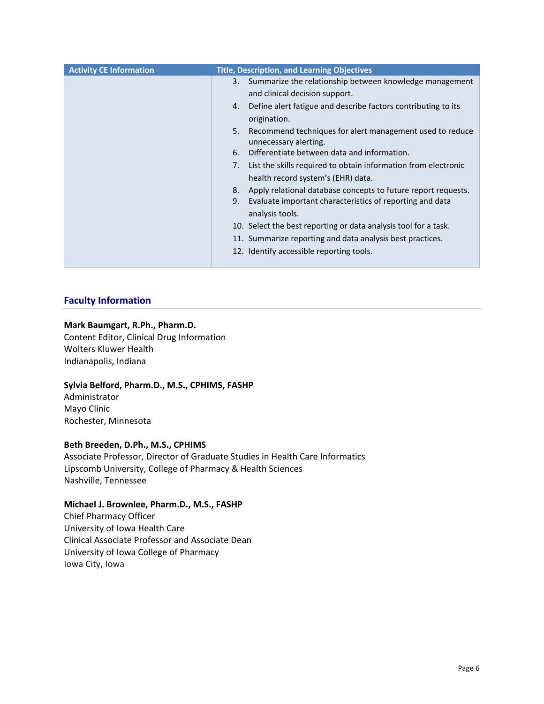| <b>Activity CE Information</b> | <b>Title, Description, and Learning Objectives</b>                                      |
|--------------------------------|-----------------------------------------------------------------------------------------|
|                                | Summarize the relationship between knowledge management<br>3.                           |
|                                | and clinical decision support.                                                          |
|                                | Define alert fatigue and describe factors contributing to its<br>4.                     |
|                                | origination.                                                                            |
|                                | 5.<br>Recommend techniques for alert management used to reduce<br>unnecessary alerting. |
|                                | Differentiate between data and information.<br>6.                                       |
|                                | List the skills required to obtain information from electronic<br>7.                    |
|                                | health record system's (EHR) data.                                                      |
|                                | Apply relational database concepts to future report requests.<br>8.                     |
|                                | Evaluate important characteristics of reporting and data<br>9.                          |
|                                | analysis tools.                                                                         |
|                                | 10. Select the best reporting or data analysis tool for a task.                         |
|                                | 11. Summarize reporting and data analysis best practices.                               |
|                                | 12. Identify accessible reporting tools.                                                |
|                                |                                                                                         |

# **Faculty Information**

## **Mark Baumgart, R.Ph., Pharm.D.**

Content Editor, Clinical Drug Information Wolters Kluwer Health Indianapolis, Indiana

# **Sylvia Belford, Pharm.D., M.S., CPHIMS, FASHP**

Administrator Mayo Clinic Rochester, Minnesota

## **Beth Breeden, D.Ph., M.S., CPHIMS**

Associate Professor, Director of Graduate Studies in Health Care Informatics Lipscomb University, College of Pharmacy & Health Sciences Nashville, Tennessee

# **Michael J. Brownlee, Pharm.D., M.S., FASHP**

Chief Pharmacy Officer University of Iowa Health Care Clinical Associate Professor and Associate Dean University of Iowa College of Pharmacy Iowa City, Iowa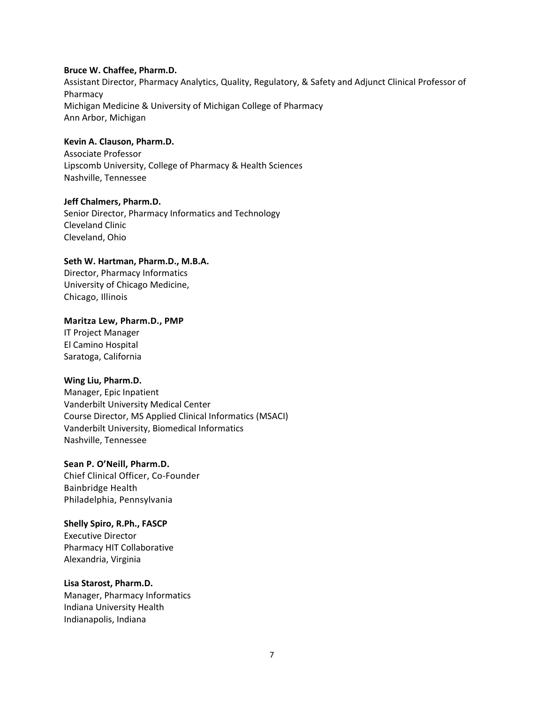### **Bruce W. Chaffee, Pharm.D.**

Assistant Director, Pharmacy Analytics, Quality, Regulatory, & Safety and Adjunct Clinical Professor of Pharmacy Michigan Medicine & University of Michigan College of Pharmacy Ann Arbor, Michigan

# **Kevin A. Clauson, Pharm.D.**

Associate Professor Lipscomb University, College of Pharmacy & Health Sciences Nashville, Tennessee

### **Jeff Chalmers, Pharm.D.**

Senior Director, Pharmacy Informatics and Technology Cleveland Clinic Cleveland, Ohio

# **Seth W. Hartman, Pharm.D., M.B.A.**

Director, Pharmacy Informatics University of Chicago Medicine, Chicago, Illinois

#### **Maritza Lew, Pharm.D., PMP**

IT Project Manager El Camino Hospital Saratoga, California

## **Wing Liu, Pharm.D.**

Manager, Epic Inpatient Vanderbilt University Medical Center Course Director, MS Applied Clinical Informatics (MSACI) Vanderbilt University, Biomedical Informatics Nashville, Tennessee

**Sean P. O'Neill, Pharm.D.** Chief Clinical Officer, Co-Founder Bainbridge Health Philadelphia, Pennsylvania

**Shelly Spiro, R.Ph., FASCP** Executive Director Pharmacy HIT Collaborative Alexandria, Virginia

#### **Lisa Starost, Pharm.D.**

Manager, Pharmacy Informatics Indiana University Health Indianapolis, Indiana